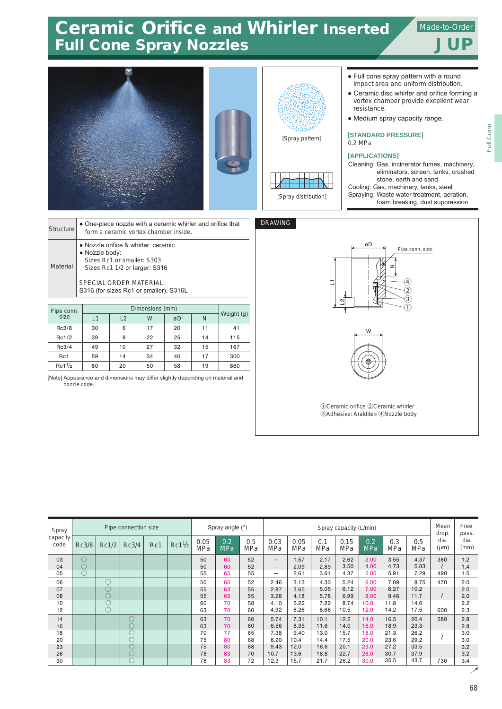## Ceramic Orifice and Whirler Inserted Full Cone Spray Nozzles and The Superintendent State of Tup **Ceramic Orifice and Whirler Inserted AllMade-to-Order**

Full Cone

Full Cone





[Spray pattern]



## $DRA$

| • Full cone spray pattern with a round |
|----------------------------------------|
| impact area and uniform distribution.  |

- Ceramic disc whirler and orifice forming a vortex chamber provide excellent wear resistance.
- Medium spray capacity range.

**[STANDARD PRESSURE]** 0.2 MPa

## **[APPLICATIONS]**

Cleaning: Gas, incinerator fumes, machinery, eliminators, screen, tanks, crushed stone, earth and sand Cooling: Gas, machinery, tanks, steel Spraying: Waste water treatment, aeration, foam breaking, dust suppression

| <b>Structure</b> | • One-piece nozzle with a ceramic whirler and orifice that<br>form a ceramic vortex chamber inside.                                                                                       |
|------------------|-------------------------------------------------------------------------------------------------------------------------------------------------------------------------------------------|
| Material         | • Nozzle orifice & whirler: ceramic<br>• Nozzle body:<br>Sizes Rc1 or smaller: S303<br>Sizes Rc1 1/2 or larger: S316<br>SPECIAL ORDER MATERIAL:<br>S316 (for sizes Rc1 or smaller), S316L |
|                  |                                                                                                                                                                                           |

| Pipe conn.       |    |    |    |    |    |            |  |
|------------------|----|----|----|----|----|------------|--|
| size             | L1 | L2 | W  | øD | N  | Weight (g) |  |
| Rc3/8            | 30 | 6  | 17 | 20 | 11 | 41         |  |
| Rc1/2            | 39 | 8  | 22 | 25 | 14 | 115        |  |
| Rc3/4            | 49 | 10 | 27 | 32 | 15 | 167        |  |
| Rc1              | 59 | 14 | 34 | 40 | 17 | 300        |  |
| $Rc1\frac{1}{2}$ | 80 | 20 | 50 | 58 | 19 | 860        |  |

[Note] Appearance and dimensions may differ slightly depending on material and nozzle code.

| <b>VING</b> |                                                                             |
|-------------|-----------------------------------------------------------------------------|
|             | øD<br>Pipe conn. size<br>z<br>$\left[4\right]$<br>2<br>3                    |
|             | W                                                                           |
|             | 1 Oceramic orifice 2 Ceramic whirler<br>3 Adhesive: Araldite® 4 Nozzle body |

| Spray<br>capacity<br>code | Pipe connection size |            |       |     |                  | Spray angle (°)    |                   |                   | Spray capacity (L/min)   |             |                   |                    |                   |                   |            | Mean<br>drop.     | Free<br>pass. |
|---------------------------|----------------------|------------|-------|-----|------------------|--------------------|-------------------|-------------------|--------------------------|-------------|-------------------|--------------------|-------------------|-------------------|------------|-------------------|---------------|
|                           | Rc3/8                | Rc1/2      | Rc3/4 | Rc1 | $Rc1\frac{1}{2}$ | 0.05<br><b>MPa</b> | 0.2<br><b>MPa</b> | 0.5<br><b>MPa</b> | 0.03<br><b>MPa</b>       | 0.05<br>MPa | 0.1<br><b>MPa</b> | 0.15<br><b>MPa</b> | 0.2<br><b>MPa</b> | 0.3<br><b>MPa</b> | 0.5<br>MPa | dia.<br>$(\mu m)$ | dia.<br>(mm)  |
| 03                        | $\circlearrowright$  |            |       |     |                  | 50                 | 60                | 52                | $\qquad \qquad \qquad$   | 1.57        | 2.17              | 2.62               | 3.00              | 3.55              | 4.37       | 380               | 1.2           |
| 04                        | $\circlearrowright$  |            |       |     |                  | 50                 | 60                | 52                | $\overline{\phantom{m}}$ | 2.09        | 2.89              | 3.50               | 4.00              | 4.73              | 5.83       |                   | 1.4           |
| 05                        | $\bigcirc$           |            |       |     |                  | 55                 | 65                | 55                | $\overline{\phantom{0}}$ | 2.61        | 3.61              | 4.37               | 5.00              | 5.91              | 7.29       | 490               | 1.5           |
| 06                        |                      | O          |       |     |                  | 50                 | 60                | 52                | 2.46                     | 3.13        | 4.33              | 5.24               | 6.00              | 7.09              | 8.75       | 470               | 2.0           |
| 07                        |                      | U          |       |     |                  | 55                 | 63                | 55                | 2.87                     | 3.65        | 5.05              | 6.12               | 7.00              | 8.27              | 10.2       |                   | 2.0           |
| 08                        |                      | $\bigcirc$ |       |     |                  | 55                 | 65                | 55                | 3.28                     | 4.18        | 5.78              | 6.99               | 8.00              | 9.46              | 11.7       |                   | 2.0           |
| 10                        |                      | U          |       |     |                  | 60                 | 70                | 58                | 4.10                     | 5.22        | 7.22              | 8.74               | 10.0              | 11.8              | 14.6       |                   | 2.2           |
| 12                        |                      | $\bigcirc$ |       |     |                  | 63                 | 70                | 60                | 4.92                     | 6.26        | 8.66              | 10.5               | 12.0              | 14.2              | 17.5       | 600               | 2.3           |
| 14                        |                      |            | O     |     |                  | 63                 | 70                | 60                | 5.74                     | 7.31        | 10.1              | 12.2               | 14.0              | 16.5              | 20.4       | 580               | 2.8           |
| 16                        |                      |            | O     |     |                  | 63                 | 70                | 60                | 6.56                     | 8.35        | 11.6              | 14.0               | 16.0              | 18.9              | 23.3       |                   | 2.8           |
| 18                        |                      |            | C     |     |                  | 70                 | 77                | 65                | 7.38                     | 9.40        | 13.0              | 15.7               | 18.0              | 21.3              | 26.2       |                   | 3.0           |
| 20                        |                      |            | C     |     |                  | 75                 | 80                | 68                | 8.20                     | 10.4        | 14.4              | 17.5               | 20.0              | 23.6              | 29.2       |                   | 3.0           |
| 23                        |                      |            | C     |     |                  | 75                 | 80                | 68                | 9.43                     | 12.0        | 16.6              | 20.1               | 23.0              | 27.2              | 33.5       |                   | 3.2           |
| 26                        |                      |            | C     |     |                  | 78                 | 83                | 70                | 10.7                     | 13.6        | 18.8              | 22.7               | 26.0              | 30.7              | 37.9       |                   | 3.2           |
| 30                        |                      |            | C     |     |                  | 78                 | 83                | 72                | 12.3                     | 15.7        | 21.7              | 26.2               | 30.0              | 35.5              | 43.7       | 730               | 3.4           |